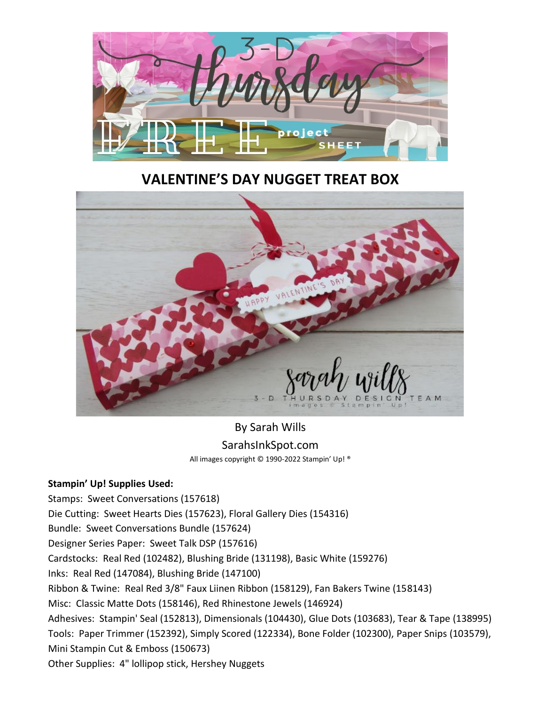

## **VALENTINE'S DAY NUGGET TREAT BOX**



## By Sarah Wills SarahsInkSpot.com All images copyright © 1990-2022 Stampin' Up! ®

## **Stampin' Up! Supplies Used:**

Stamps: Sweet Conversations (157618) Die Cutting: Sweet Hearts Dies (157623), Floral Gallery Dies (154316) Bundle: Sweet Conversations Bundle (157624) Designer Series Paper: Sweet Talk DSP (157616) Cardstocks: Real Red (102482), Blushing Bride (131198), Basic White (159276) Inks: Real Red (147084), Blushing Bride (147100) Ribbon & Twine: Real Red 3/8" Faux Liinen Ribbon (158129), Fan Bakers Twine (158143) Misc: Classic Matte Dots (158146), Red Rhinestone Jewels (146924) Adhesives: Stampin' Seal (152813), Dimensionals (104430), Glue Dots (103683), Tear & Tape (138995) Tools: Paper Trimmer (152392), Simply Scored (122334), Bone Folder (102300), Paper Snips (103579), Mini Stampin Cut & Emboss (150673) Other Supplies: 4" lollipop stick, Hershey Nuggets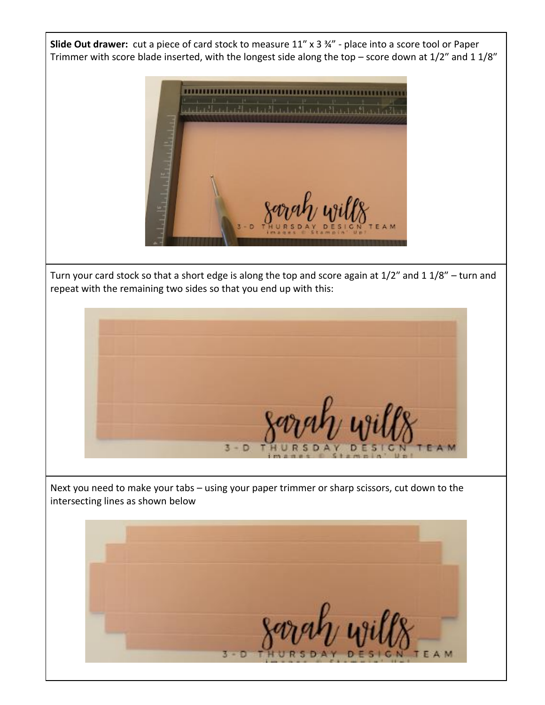**Slide Out drawer:** cut a piece of card stock to measure 11″ x 3 ¾" - place into a score tool or Paper Trimmer with score blade inserted, with the longest side along the top – score down at 1/2″ and 1 1/8″



Turn your card stock so that a short edge is along the top and score again at 1/2″ and 1 1/8″ – turn and repeat with the remaining two sides so that you end up with this:



Next you need to make your tabs – using your paper trimmer or sharp scissors, cut down to the intersecting lines as shown below

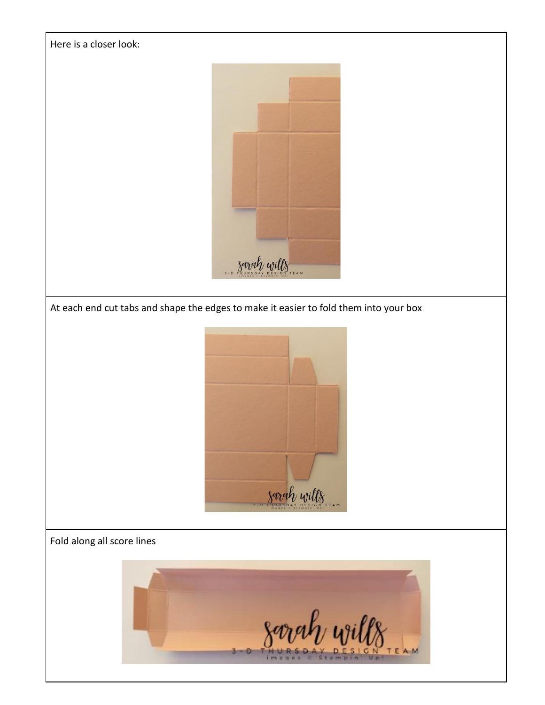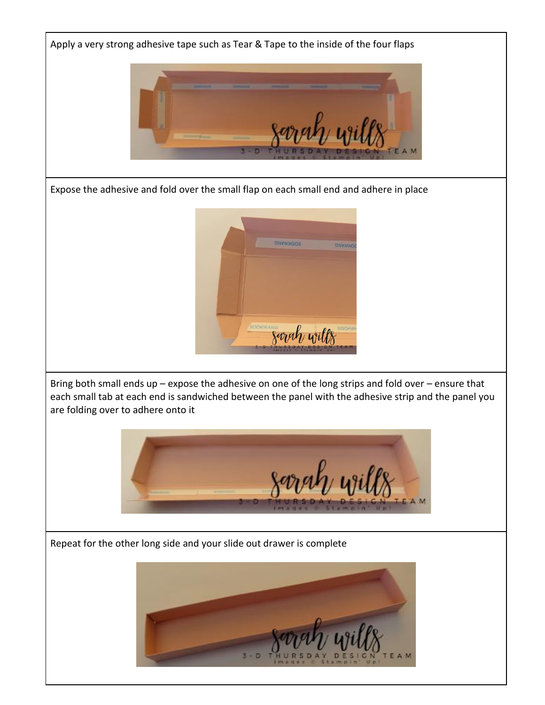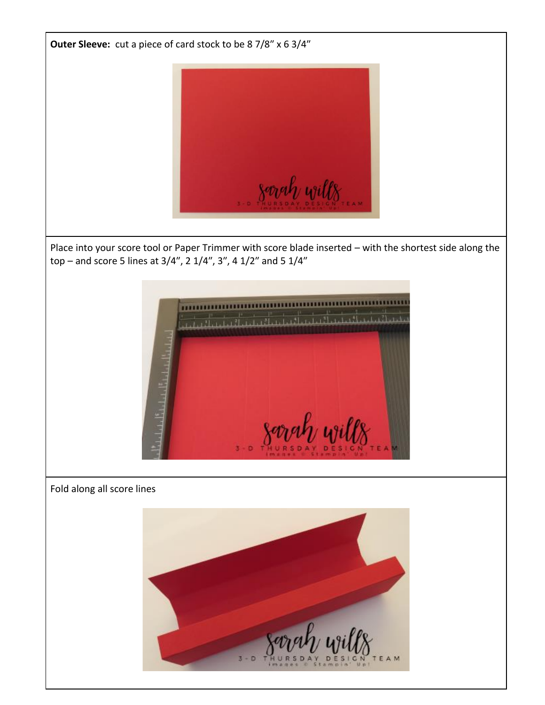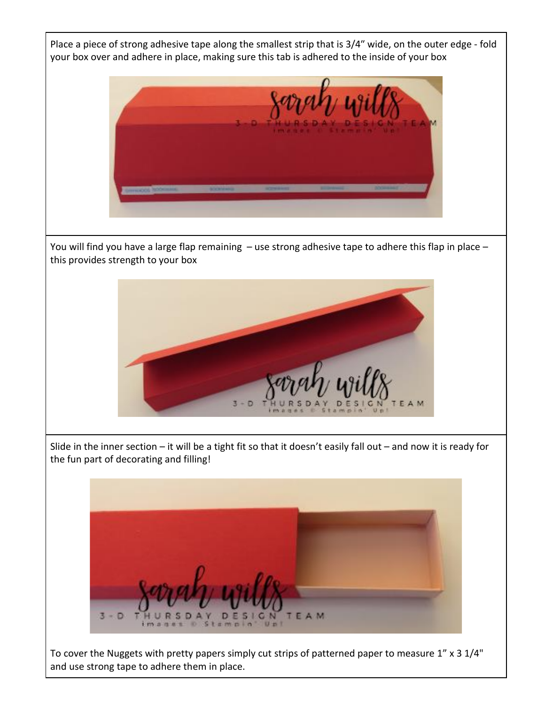Place a piece of strong adhesive tape along the smallest strip that is 3/4″ wide, on the outer edge - fold your box over and adhere in place, making sure this tab is adhered to the inside of your box



You will find you have a large flap remaining – use strong adhesive tape to adhere this flap in place – this provides strength to your box



Slide in the inner section – it will be a tight fit so that it doesn't easily fall out – and now it is ready for the fun part of decorating and filling!



To cover the Nuggets with pretty papers simply cut strips of patterned paper to measure 1" x 3 1/4" and use strong tape to adhere them in place.